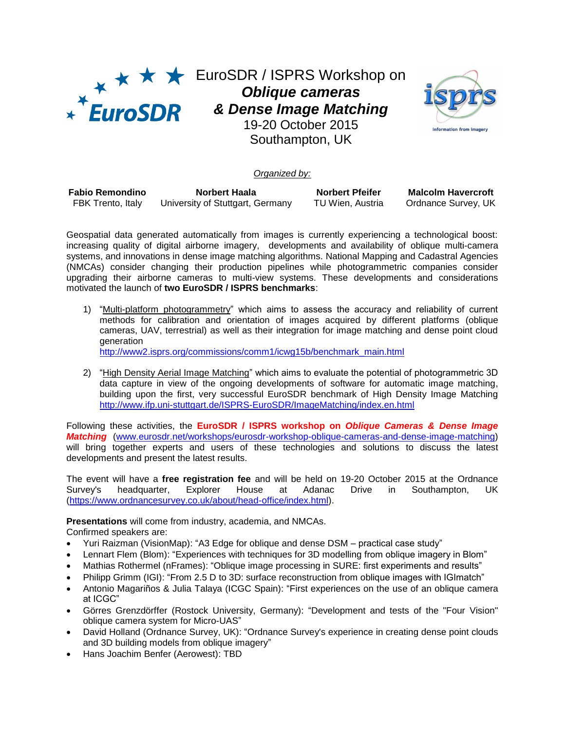

EuroSDR / ISPRS Workshop on *Oblique cameras & Dense Image Matching* 19-20 October 2015 Southampton, UK



## *Organized by:*

| <b>Fabio Remondino</b> | Norbert Haala                    | <b>Norbert Pfeifer</b> | <b>Malcolm Havercroft</b> |
|------------------------|----------------------------------|------------------------|---------------------------|
| FBK Trento, Italy      | University of Stuttgart, Germany | TU Wien, Austria       | Ordnance Survey, UK       |

Geospatial data generated automatically from images is currently experiencing a technological boost: increasing quality of digital airborne imagery, developments and availability of oblique multi-camera systems, and innovations in dense image matching algorithms. National Mapping and Cadastral Agencies (NMCAs) consider changing their production pipelines while photogrammetric companies consider upgrading their airborne cameras to multi-view systems. These developments and considerations motivated the launch of **two EuroSDR / ISPRS benchmarks**:

1) "Multi-platform photogrammetry" which aims to assess the accuracy and reliability of current methods for calibration and orientation of images acquired by different platforms (oblique cameras, UAV, terrestrial) as well as their integration for image matching and dense point cloud generation

[http://www2.isprs.org/commissions/comm1/icwg15b/benchmark\\_main.html](http://www2.isprs.org/commissions/comm1/icwg15b/benchmark_main.html)

2) "High Density Aerial Image Matching" which aims to evaluate the potential of photogrammetric 3D data capture in view of the ongoing developments of software for automatic image matching, building upon the first, very successful EuroSDR benchmark of High Density Image Matching <http://www.ifp.uni-stuttgart.de/ISPRS-EuroSDR/ImageMatching/index.en.html>

Following these activities, the **EuroSDR / ISPRS workshop on** *Oblique Cameras & Dense Image Matching* [\(www.eurosdr.net/workshops/eurosdr-workshop-oblique-cameras-and-dense-image-matching\)](www.eurosdr.net/workshops/eurosdr-workshop-oblique-cameras-and-dense-image-matching) will bring together experts and users of these technologies and solutions to discuss the latest developments and present the latest results.

The event will have a **free registration fee** and will be held on 19-20 October 2015 at the Ordnance Survey's headquarter, Explorer House at Adanac Drive in Southampton, UK [\(https://www.ordnancesurvey.co.uk/about/head-office/index.html\)](https://www.ordnancesurvey.co.uk/about/head-office/index.html).

**Presentations** will come from industry, academia, and NMCAs.

Confirmed speakers are:

- Yuri Raizman (VisionMap): "A3 Edge for oblique and dense DSM practical case study"
- Lennart Flem (Blom): "Experiences with techniques for 3D modelling from oblique imagery in Blom"
- Mathias Rothermel (nFrames): "Oblique image processing in SURE: first experiments and results"
- Philipp Grimm (IGI): "From 2.5 D to 3D: surface reconstruction from oblique images with IGImatch"
- Antonio Magariños & Julia Talaya (ICGC Spain): "First experiences on the use of an oblique camera at ICGC"
- Görres Grenzdörffer (Rostock University, Germany): "Development and tests of the "Four Vision" oblique camera system for Micro-UAS"
- David Holland (Ordnance Survey, UK): "Ordnance Survey's experience in creating dense point clouds and 3D building models from oblique imagery"
- Hans Joachim Benfer (Aerowest): TBD